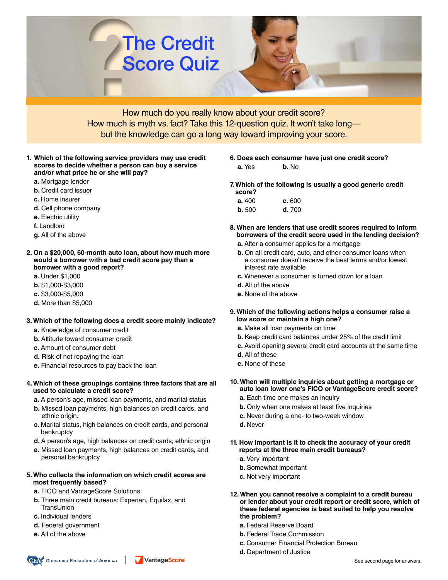

How much do you really know about your credit score? How much is myth vs. fact? Take this 12-question quiz. It won't take long but the knowledge can go a long way toward improving your score.

- **1. Which of the following service providers may use credit scores to decide whether a person can buy a service and/or what price he or she will pay?** 
	- **a.** Mortgage lender
	- **b.** Credit card issuer
	- **c.** Home insurer
	- **d.** Cell phone company
	- **e.** Electric utility
	- **f.** Landlord
	- **g.** All of the above
- **2. On a \$20,000, 60-month auto loan, about how much more would a borrower with a bad credit score pay than a borrower with a good report?**
	- **a.** Under \$1,000
	- **b.** \$1,000-\$3,000
	- **c.** \$3,000-\$5,000
	- **d.** More than \$5,000

#### **3. Which of the following does a credit score mainly indicate?**

- **a.** Knowledge of consumer credit
- **b.** Attitude toward consumer credit
- **c.** Amount of consumer debt
- **d.** Risk of not repaying the loan
- **e.** Financial resources to pay back the loan
- **4. Which of these groupings contains three factors that are all used to calculate a credit score?**
	- **a.** A person's age, missed loan payments, and marital status
	- **b.** Missed loan payments, high balances on credit cards, and ethnic origin.
	- **c.** Marital status, high balances on credit cards, and personal bankruptcy
	- **d.** A person's age, high balances on credit cards, ethnic origin
	- **e.** Missed loan payments, high balances on credit cards, and personal bankruptcy

VantageScore

#### **5. Who collects the information on which credit scores are most frequently based?**

- **a.** FICO and VantageScore Solutions
- **b.** Three main credit bureaus: Experian, Equifax, and **TransUnion**
- **c.** Individual lenders
- **d.** Federal government

Consumer Federation of America

- **e.** All of the above
- 
- **6. Does each consumer have just one credit score? a.** Yes **b.** No
- **7. Which of the following is usually a good generic credit score?**
	- **a.** 400 **c.** 600 **b.** 500 **d.** 700
- **8. When are lenders that use credit scores required to inform borrowers of the credit score used in the lending decision?**
	- **a.** After a consumer applies for a mortgage
	- **b.** On all credit card, auto, and other consumer loans when a consumer doesn't receive the best terms and/or lowest interest rate available
	- **c.** Whenever a consumer is turned down for a loan
	- **d.** All of the above
	- **e.** None of the above
- **9. Which of the following actions helps a consumer raise a low score or maintain a high one?**
	- **a.** Make all loan payments on time
	- **b.** Keep credit card balances under 25% of the credit limit
	- **c.** Avoid opening several credit card accounts at the same time
	- **d.** All of these
	- **e.** None of these
- **10. When will multiple inquiries about getting a mortgage or auto loan lower one's FICO or VantageScore credit score?**
	- **a.** Each time one makes an inquiry
	- **b.** Only when one makes at least five inquiries
	- **c.** Never during a one- to two-week window
	- **d.** Never
- **11. How important is it to check the accuracy of your credit reports at the three main credit bureaus?**
	- **a.** Very important
	- **b.** Somewhat important
	- **c.** Not very important
- **12. When you cannot resolve a complaint to a credit bureau or lender about your credit report or credit score, which of these federal agencies is best suited to help you resolve the problem?**
	- **a.** Federal Reserve Board
	- **b.** Federal Trade Commission
	- **c.** Consumer Financial Protection Bureau
	- **d.** Department of Justice